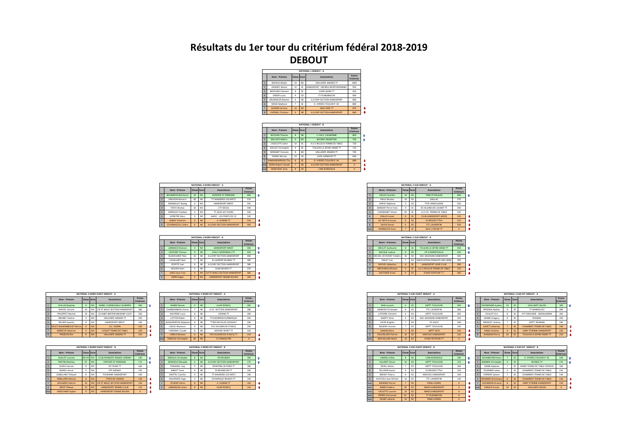## Résultats du 1er tour du critérium fédéral 2018-2019 **DEBOUT**

|   | NATIONAL 1 DEBOUT - A    |                 |                |                                  |                     |  |  |  |
|---|--------------------------|-----------------|----------------|----------------------------------|---------------------|--|--|--|
|   | Nom - Prénom             | Classe Zone     |                | Associations                     | Points<br>Critérium |  |  |  |
|   | <b>ROHEAS Matéo</b>      | 10 <sup>1</sup> | NO             | VAILLANTE ANGERS TT              | 1000                |  |  |  |
|   | <b>GRASSET Rennit</b>    | 10              | <b>SE</b>      | HANDISPORT ANTIRES MEDITERRANNEE | 950                 |  |  |  |
|   | <b>RERTHIER Clément</b>  | ×               | SE             | LOIRE NORD TT                    | 920                 |  |  |  |
|   | DIDIER Linas             | $\overline{9}$  | so             | TT PLANSANCOIS                   | 900                 |  |  |  |
|   | <b>GRUNDELER Bastien</b> | ĥ.              | NF             | A.S.EVRY SECTION HANDISPORT      | 890                 |  |  |  |
| ĥ | MESSI Stéphane           | ž               | ¢              | O HYERES TOULON P M              | 880                 |  |  |  |
|   | <b>BUZARD lérome</b>     | 10              | N <sub>0</sub> | AMO MER TT                       | 870                 |  |  |  |
| × | <b>CHESNEL Christian</b> | 9               | <b>NE</b>      | A S EVRY SECTION HANDISPORT      | 860                 |  |  |  |

|                |                            |             |                 | <b>NATIONAL 1 DEBOUT - B</b>  |                     |  |
|----------------|----------------------------|-------------|-----------------|-------------------------------|---------------------|--|
|                | Nom - Prénom               | Classe Zone |                 | Associations                  | Points<br>Critérium |  |
|                | <b>BOUVAIS Thomas</b>      | Ř           | <b>NE</b>       | CSM E FAURONNE                | 800                 |  |
| ö              | <b>RELLAIS Frédéric</b>    | $\ddot{q}$  | NO <sub></sub>  | <b>RAYARD ARGENTAN</b>        | 760                 |  |
| $\overline{a}$ | CIGOLOTTI Julien           | 10          | œ               | A LLV RILLEUX TENNIS DE TARLE | 730                 |  |
| ۵              | SOULAT Christophe          | ۹           | œ               | TOULON LA SEYNE HANDLTT       | 710                 |  |
| ¢              | SERIGNAT Francois          | ×           | NO              | VAILLANTE ANGERS TT           | 700                 |  |
| ĥ              | <b>THEME Marine</b>        | 10          | s               | <b>EVEIL MENDOIS TT</b>       | 690                 |  |
| Þ              | <b>KAMKASOMPHOU Thu</b>    | ×           | SE              | O HYERES TOULON P.M.          | 680                 |  |
| roe            | <b>SORIA Robert-Claude</b> |             | <b>NF</b>       | A S EVRY SECTION HANDISPORT   | $\Omega$            |  |
| roe            | DEREYSSAC Flias            | ×           | SO <sub>1</sub> | <b>CAM RORDEAUX</b>           | $\Omega$            |  |

|                |                          |                |           | NATIONAL 2 NORD DEROUT - A  |                     |
|----------------|--------------------------|----------------|-----------|-----------------------------|---------------------|
|                | Nom - Prénom             | Classe Zone    |           | Associations                | Points<br>Critérium |
|                | <b>BOUMEDOUHA Karim</b>  | 10             | NO        | <b>ENTENTE ST PIERRAISE</b> | 600                 |
|                | VINCHON Romaric          | SD.            | NF        | TT MAIZIERES-LES-METZ       | 570                 |
| $\overline{a}$ | <b>RAIMBAULT Noelig</b>  | $\overline{9}$ | NO        | HANDISPORT RREST            | 550                 |
| $\lambda$      | <b>TESTU Nicolas</b>     | 10             | NO        | CTT DEOLS                   | 540                 |
| k              | HERRAILT Esteban         | 6              | NO        | <b>TT IQUE LES TOURS</b>    | 530                 |
| ĥ.             | <b>LEPRETRE Marc</b>     | ٥              | NO        | AAFFC - LES PONTS DE CE     | 520                 |
|                | <b>GARAY Victorien</b>   | Ř              | <b>NF</b> | A VOISINS TT                | 510                 |
| Ř              | <b>COURMACEUL Cédric</b> | Ř              | <b>NE</b> | A S EVRY SECTION HANDISPORT | son                 |

|                |                        |                |                | <b>NATIONAL 2 NORD DEBOUT - B</b> |                     |  |
|----------------|------------------------|----------------|----------------|-----------------------------------|---------------------|--|
|                | Nom - Prénom           |                | Classe Zone    | <b>Associations</b>               | Points<br>Critérium |  |
|                | <b>LARRAOUL Romain</b> | $\ddot{q}$     | NO <sub></sub> | HANDISPORT RREST                  | 450                 |  |
|                | <b>LESOURD Thomas</b>  | ×              | <b>NE</b>      | <b>CHILLY-MORANGIS CTT</b>        | 420                 |  |
| $\overline{a}$ | <b>BLANCHARD Théo</b>  | 10             | NE             | A S EVRY SECTION HANDISPORT       | 400                 |  |
|                | LAVALLART Avel         |                | NF             | St LAURENT BLANGY TT              | 390                 |  |
| k              | POPOTE Inel            | 8              | NE             | A S EVRY SECTION HANDISPORT       | 380                 |  |
| ĥ.             | <b>JAOUEN Alain</b>    | $\overline{9}$ | NF             | <b>FI AN NEVERS TT</b>            | 370                 |  |
|                | JAIGU Jean-Yves        | $\overline{9}$ | <b>NO</b>      | CIF ST MALO SECTION HANDISPORT    | 360                 |  |
| $\mathbf{R}$   | <b>EMPIS Edgar</b>     | $\mathbf{9}$   | <b>NO</b>      | HANDISPORT GRAND ROUEN            | 350                 |  |

|                |                                  |                |                | NATIONAL 3 NORD OUEST DEBOUT - A |                     |   |
|----------------|----------------------------------|----------------|----------------|----------------------------------|---------------------|---|
|                | Nom - Prénom                     | Classe Zone    |                | Associations                     | Points<br>Critérium |   |
|                | <b>GUILLAS Baptiste</b>          | $\mathbf{R}$   | NO <sub></sub> | HANDI, CORNOUAILLE QUIMPER       | 300                 |   |
| $\overline{2}$ | MICHEL Vincent                   | 10             | NO             | CJF ST MALO SECTION HANDISPORT   | 280                 |   |
| $\overline{a}$ | PHILIPPOT Martial                | 10             | NO             | US SAINT BERTHEVIN/SAINT LOUP    | 260                 |   |
| A              | <b>RRUNET Valérie</b>            | $\overline{9}$ | NO             | VAILLANTE ANGERS TT              | 250                 |   |
| K              | <b>RICHER Quentin</b>            | 8              | NO             | HANDISPORT RREST                 | 240                 |   |
| ĥ.             | <b>RAULT-MAISONNEUVE Patrice</b> | $\mathbf{R}$   | N <sub>0</sub> | AC PIERIN                        | 230                 | ∎ |
|                | <b>ROBECHE Séverine</b>          | $\ddot{q}$     | <b>NO</b>      | CHOLET TENNIS DE TARLE           | 220                 |   |
| $\mathbf{R}$   | PREZELIN Flie                    | $\mathbf{R}$   | <b>NO</b>      | VAILLANTE ANGERS TT              | 210                 |   |

|                |                         |                  |                | NATIONAL 3 NORD OUEST DEBOUT - B |                     |   |
|----------------|-------------------------|------------------|----------------|----------------------------------|---------------------|---|
|                | Nom - Prénom            | Classe Zone      |                | Associations                     | Points<br>Critérium |   |
|                | <b>QUILLET Laurent</b>  | NE-DV            | <b>NO</b>      | CLUB PONGISTE FRANCE AIZENAY     | 190                 |   |
| $\overline{c}$ | <b>PROTIN Mathieur</b>  | EC               | NO <sub></sub> | <b>ENTENTE ST PIERRAISE</b>      | 175                 |   |
|                | <b>ILIVIN Francois</b>  | Ř                | NO             | 4S TOURS TT                      | 160                 |   |
| A              | MOREI Herué             | $\ddot{q}$       | NO             | CPF AIZENAY                      | 150                 |   |
|                | GABILLARD Thibault      | R                | NO             | TOURAINE HANDISPORT              | 140                 |   |
| f.             | <b>RABILLARD Melvyn</b> | $\mathbf{R}$     | <b>NO</b>      | <b>TTROCHE VENDEE</b>            | 130                 | л |
|                | DELAGREE Fabrice        | 10               | <b>NO</b>      | CJF ST MALO SECTION HANDISPORT   | 120                 | л |
| $\mathbf{R}$   | SIROP Thibaut           | 10 <sub>10</sub> | N <sub>0</sub> | HANDISPORT RENNES CLUB           | 110                 |   |
| woe            | <b>HERICHARD Scohie</b> | $\mathbf{Q}$     | <b>NO</b>      | HANDISPORT GRAND ROUEN.          | $\Omega$            |   |

| NATIONAL 3 NORD EST DEROUT - A |                            |            |             |                           |                     |  |
|--------------------------------|----------------------------|------------|-------------|---------------------------|---------------------|--|
|                                | Nom - Prénom               |            | Classe Zone | Associations              | Points<br>Critérium |  |
|                                | <b>MAIRIE Renait</b>       | $\ddot{q}$ | <b>NE</b>   | ULIAP RONCO               | 300                 |  |
|                                | CHARRONNEAU Fliane         | ž          | <b>NF</b>   | A S.F. SECTION HANDISPORT | 280                 |  |
| $\overline{a}$                 | HALITIERE Lucie            | ×          | NF          | VOISINS TT                | 260                 |  |
| A                              | <b>LOTTON Robin</b>        | ×          | NF          | TTA BONPAIN-DUNKEROUE     | 250                 |  |
| S                              | QUIQUEMPOIX Stéphane       | ×          | <b>NF</b>   | TTSM NOYELLES GODALILT    | 240                 |  |
| ĥ                              | LEDUC Maxence              | ×          | <b>NF</b>   | FOS VILLENEUVE D'ASCO     | 230                 |  |
|                                | CARDINAL Claude            | ×          | NF          | ANTONY SPORT TT           | 220                 |  |
| R                              | <b>CARELS Mickael</b>      | ×          | <b>NF</b>   | FOS VILLENEUVE D'ASCO TT  | 210                 |  |
| woe                            | <b>PANICALI Christophe</b> | SD         | <b>NE</b>   | CC DANIOUTIN              | $\Omega$            |  |

|                | NATIONAL 3 NORD EST DEROUT - R |                |           |                                    |                     |  |  |
|----------------|--------------------------------|----------------|-----------|------------------------------------|---------------------|--|--|
|                | Nom - Prénom                   | Classe Zone    |           | Associations                       | Points<br>Critérium |  |  |
|                | SZEKULA Christophe             | ×              | <b>NE</b> | <b>AP ROUBAIX</b>                  | 190                 |  |  |
| $\overline{ }$ | DERKAOUI Mouade                | ĥ              | NF        | <b>A.S.EVRY SECTION HANDISPORT</b> | 175                 |  |  |
| $\overline{a}$ | TOMASSO Guy                    | $\overline{9}$ | NF        | SPORTING 20 PARIS TT               | 160                 |  |  |
|                | <b>RAROT Tanja</b>             | ۹              | NF        | PS RESANCON TT                     | 150                 |  |  |
|                | KNITTEL Camille                | $\overline{9}$ | NF        | TT MAIZIERES LES METZ              | 140                 |  |  |
| ĥ.             | MAUFRERE Hugo                  | $\overline{9}$ | NF        | OLYMPIQUE REMOIS TT                | 130                 |  |  |
|                | STUDER Céline                  | 8              | <b>NE</b> | A VOISINS TT                       | 120                 |  |  |
| $\mathbf{R}$   | <b>LABRANCHE Julien</b>        | 8              | <b>NE</b> | ULIAP RONCO                        | 110                 |  |  |

|                    |                            |                |               | NATIONAL 2 SUD DEBOUT - A |                     |   |
|--------------------|----------------------------|----------------|---------------|---------------------------|---------------------|---|
|                    | Noms - Prénoms             | Classe Zone    |               | Associations              | Points<br>Critérium |   |
|                    | <b>GILLES Corentin</b>     | 10             | <sub>SO</sub> | <b>PING ST PAULAIS</b>    | 600                 |   |
| $\mathcal{P}$      | MILLE Nicolas              | 10             | SO.           | GAILLAC                   | 570                 |   |
| $\overline{z}$     | <b>HERVE Stéphane</b>      | $\overline{9}$ | SO.           | <b>TTGF ANGOLILEME</b>    | 550                 |   |
| A                  | <b>BANESSY Pierre-Yves</b> | $\overline{9}$ | SE            | ES VILLENEUVE LOUBET TT   | 540                 |   |
| $\leq$             | CHASSIGNET Olivier         | SD             | SE            | A LLV R. TENNIS DE TARLE  | 530                 |   |
| ĥ.                 | DIALLO Lignel              | ×              | <b>SE</b>     | CLUB HANDISPORT AIXOIS    | 520                 | a |
|                    | <b>DE ORTA Francois</b>    | ×              | <b>SO</b>     | <b>ES BRUGES TTHV</b>     | 510                 | a |
| $\mathbf{\hat{x}}$ | <b>SAYAH Kamel</b>         | Á              | <b>SO</b>     | <b>TTC LAURENTIN</b>      | 500                 | л |
| woe                | <b>RARNEOUD Anne</b>       |                | SE            | <b>ASHL LYON RE TT</b>    | $\Omega$            |   |

| NATIONAL 2 SUD DEBOUT - B |                           |             |               |                               |                     |  |  |
|---------------------------|---------------------------|-------------|---------------|-------------------------------|---------------------|--|--|
|                           | Noms - Prénoms            | Classe Zone |               | Associations                  | Points<br>Critérium |  |  |
|                           | <b>GRILLET Guillaume</b>  | ×           | SE            | TOULON LA SEYNE HANDLTT       | 450                 |  |  |
|                           | <b>BACQUE Ludovic</b>     | ×           | <sub>SO</sub> | CP D'AIGREFFUILLE             | 420                 |  |  |
|                           | MICHEL DE ROISSY Frédéric | 10          | so            | MIC GRUISSAN HANDISPORT       | 400                 |  |  |
|                           | <b>VIAULT Loic</b>        |             | so            | ASSOCIATION PONGISTE MELUSINE | 390                 |  |  |
| ς                         | MICHEL Sébastien          | ×           | SE            | <b>HANDISPORT AZUR CLUB</b>   | 380                 |  |  |
| f.                        | ANTOLINOS Mickael         | ٩           | SE            | A.U.V.RILLEUX TENNIS DE TABLE | 370                 |  |  |
|                           | <b>GALITHIER Victor</b>   | ٩           | <b>SO</b>     | STADE POITEVIN T.T.           | 360                 |  |  |

| NATIONAL 3 SUD OUEST DEROUT - A |                           |                |               |                          |                     |  |  |  |
|---------------------------------|---------------------------|----------------|---------------|--------------------------|---------------------|--|--|--|
|                                 | Nom - Prénom              | Classe Zone    |               | Associations             | Points<br>Critérium |  |  |  |
|                                 | <b>DIAZ Laurent</b>       | ĥ              | <sub>SO</sub> | <b>ASPTT TOULOUSE</b>    | 300                 |  |  |  |
| $\mathcal{P}$                   | <b>GANDON Christophe</b>  | $\mathbf{R}$   | SO.           | <b>TTC LAURENTIN</b>     | 280                 |  |  |  |
| $\overline{a}$                  | LATORRE Clément           | 6              | SO.           | <b>ASPTT TOULOUSE</b>    | 260                 |  |  |  |
|                                 | MARTY Aline               | $\overline{9}$ | SO.           | MIC GRUISSAN HANDISPORT  | 250                 |  |  |  |
| s                               | <b>LECEE Brigitte</b>     | 7              | SO.           | <b>CP AUCH</b>           | 240                 |  |  |  |
| ĥ.                              | <b>RAUDRY Vincent</b>     | 7              | SO.           | <b>ASPTT TOULOUSE</b>    | 230                 |  |  |  |
|                                 | <b>GAMON Marc</b>         |                | <b>SO</b>     | <b>ASPTT SETE</b>        | 220                 |  |  |  |
| $\mathbf{\hat{x}}$              | <b>CRUVEULUER Patrick</b> | 10             | <b>SO</b>     | AMICALE HANDISPORT       | 210                 |  |  |  |
| woe                             | <b>BEN SELLAM Walid</b>   | 10             | <b>SO</b>     | <b>STADE POITEVIN TT</b> | n                   |  |  |  |

|                    | NATIONAL 3 SUD EST DEROUT - A |              |           |                           |                     |  |  |  |  |  |
|--------------------|-------------------------------|--------------|-----------|---------------------------|---------------------|--|--|--|--|--|
|                    | Nom - Prénom                  | Classe Zone  |           | Associations              | Points<br>Critérium |  |  |  |  |  |
|                    | PAYSSERAND Audrey             | 10           | SE        | VAILLANTE SALON           | 300                 |  |  |  |  |  |
| $\mathcal{P}$      | SPEZZIGA Nathan               | Ř            | SE        | <b>TT MANDELIFLI</b>      | 280                 |  |  |  |  |  |
| $\overline{a}$     | VOLILOT Frie                  | Ř            | SE        | ATT DRACENIE - DRAGUIGNAN | 260                 |  |  |  |  |  |
| ۵                  | MIANE Grégory                 | Ř            | SE        | <b>ROGNAC</b>             | 250                 |  |  |  |  |  |
| ¢                  | MENELET Jérémy                | 7            | SE        | ASPTT ROMANS              | 240                 |  |  |  |  |  |
| ĥ.                 | <b>GAYET Catherine</b>        | 7            | <b>SE</b> | CHAMBERY TENNIS DE TABLE  | 230                 |  |  |  |  |  |
|                    | KINGA Parôme                  | $\mathbf{R}$ | <b>SE</b> | SAINT ETIENNE HANDISPORT  | 220                 |  |  |  |  |  |
| $\mathbf{\hat{x}}$ | <b>JEANJEAN Pierre</b>        | 10           | <b>SE</b> | TOULON LA SEYNE HANDI TT  | 210                 |  |  |  |  |  |

|                         |                        |                  |           | NATIONAL 3 SUD OUEST DEROUT - R |                     |  |  |
|-------------------------|------------------------|------------------|-----------|---------------------------------|---------------------|--|--|
|                         | Nom - Prénom           | Classe Zone      |           | Associations                    | Points<br>Critérium |  |  |
| $\mathbf{1}$            | <b>LARRIFLI Gilles</b> | ×                | <b>SO</b> | CAM BORDEAUX                    | 190                 |  |  |
| $\mathcal{P}$           | VILLARET Simon         | 10 <sub>10</sub> | <b>SO</b> | <b>ASPTT TOULOUSE</b>           | 175                 |  |  |
| $\overline{z}$          | REVEL Adrien           | 7                | so        | <b>ASPTT TOULOUSE</b>           | 160                 |  |  |
| 4                       | PELLERIN Xavier        | ۹                | so        | <b>FS RRIJGES TTHV</b>          | 150                 |  |  |
| $\overline{\mathsf{S}}$ | <b>BRESSY Thierry</b>  | $\mathbf{R}$     | so        | AMICALE HANDISPORT              | 140                 |  |  |
| ĥ.                      | HUCTEAU Jean-Michel    | 10               | SO.       | <b>TTC LAURENTIN</b>            | 130                 |  |  |
| woe                     | <b>MENARD Florian</b>  | $\overline{ }$   | <b>SO</b> | <b>PANA-LOISIRS</b>             | $\circ$             |  |  |
| woe                     | <b>RABIN frédéric</b>  | SD.              | <b>SO</b> | NIMES HANDISPORT                | $\Omega$            |  |  |
| woe                     | VIOLETTE Laurent       | 10               | <b>SO</b> | NIMES HANDISPORT                | $\Omega$            |  |  |
| woe                     | PIERRE Emmanuel        | FC               | <b>SO</b> | <b>TT PLAISANCOIS</b>           | $\Omega$            |  |  |
| woe                     | <b>FAURE Ludivine</b>  | 10               | <b>SO</b> | <b>PANA-LOISIRS</b>             | $\Omega$            |  |  |

|                         |                           |              |    | NATIONAL 3 SUD EST DEBOUT - B |                     |
|-------------------------|---------------------------|--------------|----|-------------------------------|---------------------|
|                         | Nom - Prénom              | Classe Zone  |    | Associations                  | Points<br>Critérium |
|                         | DOURRECKER Kévin          |              | SF | O. HYERES TOULON P. M.        | 190                 |
| $\mathcal{P}$           | <b>BARBIER Christophe</b> | $\ddot{q}$   | SE | SEYNOD TT                     | 175                 |
| $\overline{\mathbf{3}}$ | <b>LENNE Baptiste</b>     |              | SE | HANDI TENNIS DE TABLE HYEROIS | 160                 |
| 4                       | TOLIRNIER Johan           | 6            | SE | CHAMBERY TENNIS DE TABLE      | 150                 |
| $\leq$                  | <b>FERRERE Sylvain</b>    | 7            | SF | CHAMBERY TENNIS DE TABLE      | 140                 |
| ĥ.                      | <b>MOSNIER Dominique</b>  | Ä            | SF | CHAMBERY TENNIS DE TABLE      | 130                 |
| 7                       | <b>VOCANSON Arnaud</b>    | $\mathbf{R}$ | SF | SAINT ETIENNE HANDISPORT      | 120                 |
| woe                     | <b>FARALIS Franck</b>     | 10           | SE | VAILLANTE SALON               | $\Omega$            |